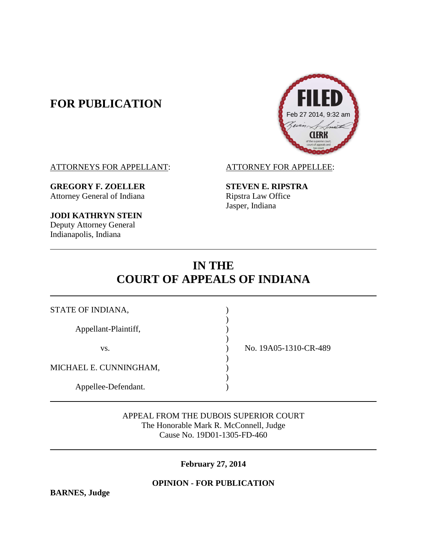# **FOR PUBLICATION**



ATTORNEYS FOR APPELLANT: ATTORNEY FOR APPELLEE:

**GREGORY F. ZOELLER STEVEN E. RIPSTRA** Attorney General of Indiana Ripstra Law Office

**JODI KATHRYN STEIN** Deputy Attorney General Indianapolis, Indiana

Jasper, Indiana

# **IN THE COURT OF APPEALS OF INDIANA**

| STATE OF INDIANA,      |                       |
|------------------------|-----------------------|
| Appellant-Plaintiff,   |                       |
| VS.                    | No. 19A05-1310-CR-489 |
| MICHAEL E. CUNNINGHAM, |                       |
| Appellee-Defendant.    |                       |

APPEAL FROM THE DUBOIS SUPERIOR COURT The Honorable Mark R. McConnell, Judge Cause No. 19D01-1305-FD-460

**February 27, 2014**

**OPINION - FOR PUBLICATION**

**BARNES, Judge**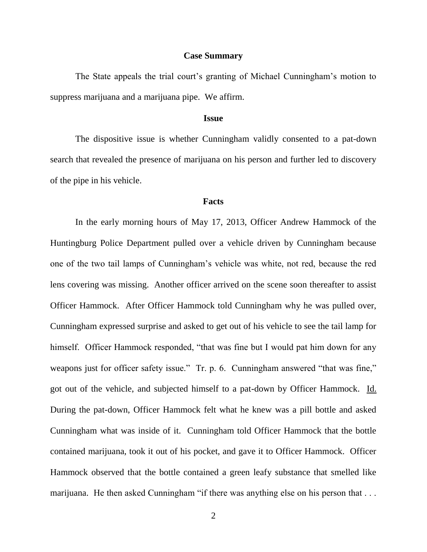#### **Case Summary**

The State appeals the trial court's granting of Michael Cunningham's motion to suppress marijuana and a marijuana pipe. We affirm.

#### **Issue**

The dispositive issue is whether Cunningham validly consented to a pat-down search that revealed the presence of marijuana on his person and further led to discovery of the pipe in his vehicle.

#### **Facts**

In the early morning hours of May 17, 2013, Officer Andrew Hammock of the Huntingburg Police Department pulled over a vehicle driven by Cunningham because one of the two tail lamps of Cunningham's vehicle was white, not red, because the red lens covering was missing. Another officer arrived on the scene soon thereafter to assist Officer Hammock. After Officer Hammock told Cunningham why he was pulled over, Cunningham expressed surprise and asked to get out of his vehicle to see the tail lamp for himself. Officer Hammock responded, "that was fine but I would pat him down for any weapons just for officer safety issue." Tr. p. 6. Cunningham answered "that was fine," got out of the vehicle, and subjected himself to a pat-down by Officer Hammock. Id. During the pat-down, Officer Hammock felt what he knew was a pill bottle and asked Cunningham what was inside of it. Cunningham told Officer Hammock that the bottle contained marijuana, took it out of his pocket, and gave it to Officer Hammock. Officer Hammock observed that the bottle contained a green leafy substance that smelled like marijuana. He then asked Cunningham "if there was anything else on his person that ...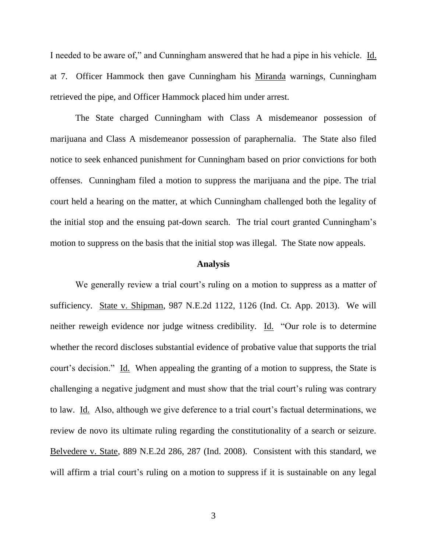I needed to be aware of," and Cunningham answered that he had a pipe in his vehicle. Id. at 7. Officer Hammock then gave Cunningham his Miranda warnings, Cunningham retrieved the pipe, and Officer Hammock placed him under arrest.

The State charged Cunningham with Class A misdemeanor possession of marijuana and Class A misdemeanor possession of paraphernalia. The State also filed notice to seek enhanced punishment for Cunningham based on prior convictions for both offenses. Cunningham filed a motion to suppress the marijuana and the pipe. The trial court held a hearing on the matter, at which Cunningham challenged both the legality of the initial stop and the ensuing pat-down search. The trial court granted Cunningham's motion to suppress on the basis that the initial stop was illegal. The State now appeals.

### **Analysis**

We generally review a trial court's ruling on a motion to suppress as a matter of sufficiency. State v. Shipman, 987 N.E.2d 1122, 1126 (Ind. Ct. App. 2013). We will neither reweigh evidence nor judge witness credibility. Id. "Our role is to determine whether the record discloses substantial evidence of probative value that supports the trial court's decision." Id. When appealing the granting of a motion to suppress, the State is challenging a negative judgment and must show that the trial court's ruling was contrary to law. Id. Also, although we give deference to a trial court's factual determinations, we review de novo its ultimate ruling regarding the constitutionality of a search or seizure. Belvedere v. State, 889 N.E.2d 286, 287 (Ind. 2008). Consistent with this standard, we will affirm a trial court's ruling on a motion to suppress if it is sustainable on any legal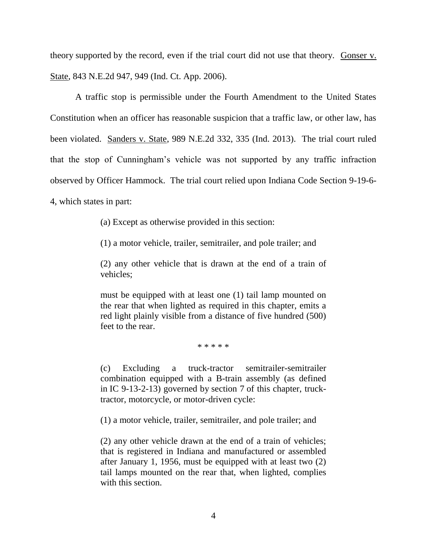theory supported by the record, even if the trial court did not use that theory. Gonser v. State, 843 N.E.2d 947, 949 (Ind. Ct. App. 2006).

A traffic stop is permissible under the Fourth Amendment to the United States Constitution when an officer has reasonable suspicion that a traffic law, or other law, has been violated. Sanders v. State, 989 N.E.2d 332, 335 (Ind. 2013). The trial court ruled that the stop of Cunningham's vehicle was not supported by any traffic infraction observed by Officer Hammock. The trial court relied upon Indiana Code Section 9-19-6- 4, which states in part:

(a) Except as otherwise provided in this section:

(1) a motor vehicle, trailer, semitrailer, and pole trailer; and

(2) any other vehicle that is drawn at the end of a train of vehicles;

must be equipped with at least one (1) tail lamp mounted on the rear that when lighted as required in this chapter, emits a red light plainly visible from a distance of five hundred (500) feet to the rear.

\* \* \* \* \*

(c) Excluding a truck-tractor semitrailer-semitrailer combination equipped with a B-train assembly (as defined in IC 9-13-2-13) governed by section 7 of this chapter, trucktractor, motorcycle, or motor-driven cycle:

(1) a motor vehicle, trailer, semitrailer, and pole trailer; and

(2) any other vehicle drawn at the end of a train of vehicles; that is registered in Indiana and manufactured or assembled after January 1, 1956, must be equipped with at least two (2) tail lamps mounted on the rear that, when lighted, complies with this section.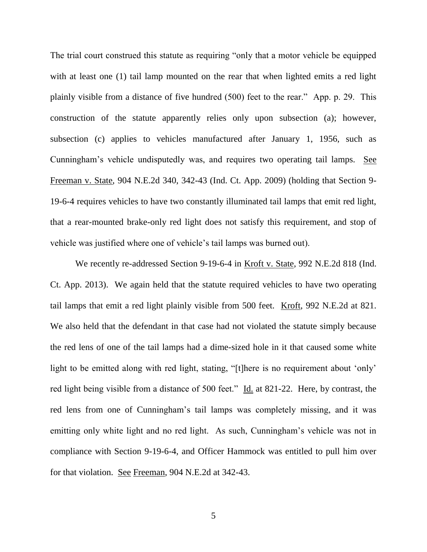The trial court construed this statute as requiring "only that a motor vehicle be equipped with at least one (1) tail lamp mounted on the rear that when lighted emits a red light plainly visible from a distance of five hundred (500) feet to the rear." App. p. 29. This construction of the statute apparently relies only upon subsection (a); however, subsection (c) applies to vehicles manufactured after January 1, 1956, such as Cunningham's vehicle undisputedly was, and requires two operating tail lamps. See Freeman v. State, 904 N.E.2d 340, 342-43 (Ind. Ct. App. 2009) (holding that Section 9- 19-6-4 requires vehicles to have two constantly illuminated tail lamps that emit red light, that a rear-mounted brake-only red light does not satisfy this requirement, and stop of vehicle was justified where one of vehicle's tail lamps was burned out).

We recently re-addressed Section 9-19-6-4 in Kroft v. State, 992 N.E.2d 818 (Ind. Ct. App. 2013). We again held that the statute required vehicles to have two operating tail lamps that emit a red light plainly visible from 500 feet. Kroft, 992 N.E.2d at 821. We also held that the defendant in that case had not violated the statute simply because the red lens of one of the tail lamps had a dime-sized hole in it that caused some white light to be emitted along with red light, stating, "[t]here is no requirement about 'only' red light being visible from a distance of 500 feet." Id. at 821-22. Here, by contrast, the red lens from one of Cunningham's tail lamps was completely missing, and it was emitting only white light and no red light. As such, Cunningham's vehicle was not in compliance with Section 9-19-6-4, and Officer Hammock was entitled to pull him over for that violation. See Freeman, 904 N.E.2d at 342-43.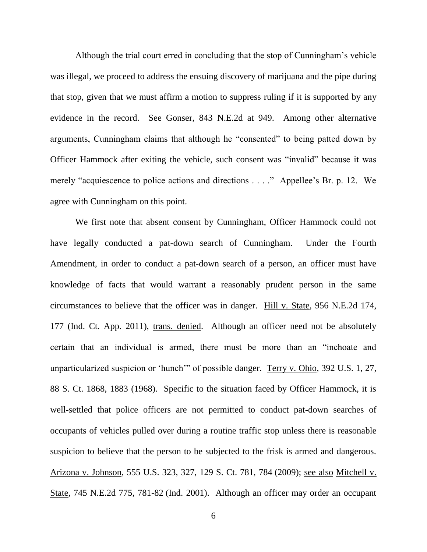Although the trial court erred in concluding that the stop of Cunningham's vehicle was illegal, we proceed to address the ensuing discovery of marijuana and the pipe during that stop, given that we must affirm a motion to suppress ruling if it is supported by any evidence in the record. See Gonser, 843 N.E.2d at 949. Among other alternative arguments, Cunningham claims that although he "consented" to being patted down by Officer Hammock after exiting the vehicle, such consent was "invalid" because it was merely "acquiescence to police actions and directions . . . ." Appellee's Br. p. 12. We agree with Cunningham on this point.

We first note that absent consent by Cunningham, Officer Hammock could not have legally conducted a pat-down search of Cunningham. Under the Fourth Amendment, in order to conduct a pat-down search of a person, an officer must have knowledge of facts that would warrant a reasonably prudent person in the same circumstances to believe that the officer was in danger. Hill v. State, 956 N.E.2d 174, 177 (Ind. Ct. App. 2011), trans. denied. Although an officer need not be absolutely certain that an individual is armed, there must be more than an "inchoate and unparticularized suspicion or 'hunch'" of possible danger. Terry v. Ohio, 392 U.S. 1, 27, 88 S. Ct. 1868, 1883 (1968). Specific to the situation faced by Officer Hammock, it is well-settled that police officers are not permitted to conduct pat-down searches of occupants of vehicles pulled over during a routine traffic stop unless there is reasonable suspicion to believe that the person to be subjected to the frisk is armed and dangerous. Arizona v. Johnson, 555 U.S. 323, 327, 129 S. Ct. 781, 784 (2009); see also Mitchell v. State, 745 N.E.2d 775, 781-82 (Ind. 2001). Although an officer may order an occupant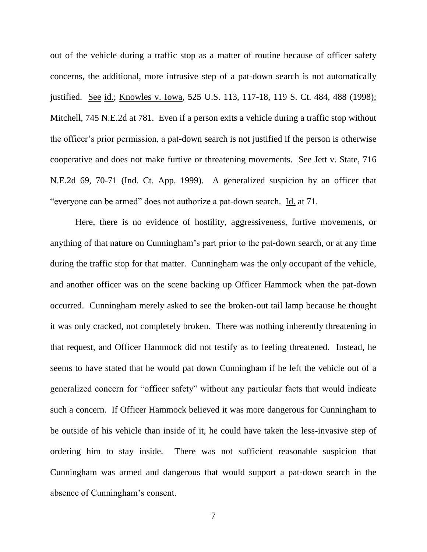out of the vehicle during a traffic stop as a matter of routine because of officer safety concerns, the additional, more intrusive step of a pat-down search is not automatically justified. See id.; Knowles v. Iowa, 525 U.S. 113, 117-18, 119 S. Ct. 484, 488 (1998); Mitchell, 745 N.E.2d at 781. Even if a person exits a vehicle during a traffic stop without the officer's prior permission, a pat-down search is not justified if the person is otherwise cooperative and does not make furtive or threatening movements. See Jett v. State, 716 N.E.2d 69, 70-71 (Ind. Ct. App. 1999). A generalized suspicion by an officer that "everyone can be armed" does not authorize a pat-down search. Id. at 71.

Here, there is no evidence of hostility, aggressiveness, furtive movements, or anything of that nature on Cunningham's part prior to the pat-down search, or at any time during the traffic stop for that matter. Cunningham was the only occupant of the vehicle, and another officer was on the scene backing up Officer Hammock when the pat-down occurred. Cunningham merely asked to see the broken-out tail lamp because he thought it was only cracked, not completely broken. There was nothing inherently threatening in that request, and Officer Hammock did not testify as to feeling threatened. Instead, he seems to have stated that he would pat down Cunningham if he left the vehicle out of a generalized concern for "officer safety" without any particular facts that would indicate such a concern. If Officer Hammock believed it was more dangerous for Cunningham to be outside of his vehicle than inside of it, he could have taken the less-invasive step of ordering him to stay inside. There was not sufficient reasonable suspicion that Cunningham was armed and dangerous that would support a pat-down search in the absence of Cunningham's consent.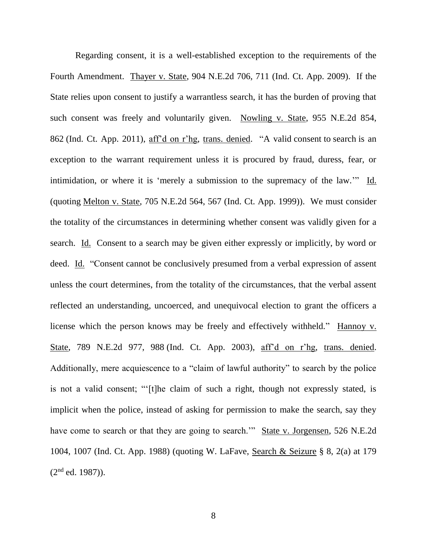Regarding consent, it is a well-established exception to the requirements of the Fourth Amendment. Thayer v. State, 904 N.E.2d 706, 711 (Ind. Ct. App. 2009). If the State relies upon consent to justify a warrantless search, it has the burden of proving that such consent was freely and voluntarily given. Nowling v. State, 955 N.E.2d 854, 862 (Ind. Ct. App. 2011), aff'd on r'hg, trans. denied. "A valid consent to search is an exception to the warrant requirement unless it is procured by fraud, duress, fear, or intimidation, or where it is 'merely a submission to the supremacy of the law.'" Id. (quoting Melton v. State, 705 N.E.2d 564, 567 (Ind. Ct. App. 1999)). We must consider the totality of the circumstances in determining whether consent was validly given for a search. Id. Consent to a search may be given either expressly or implicitly, by word or deed. Id. "Consent cannot be conclusively presumed from a verbal expression of assent unless the court determines, from the totality of the circumstances, that the verbal assent reflected an understanding, uncoerced, and unequivocal election to grant the officers a license which the person knows may be freely and effectively withheld." Hannoy v. State, 789 N.E.2d 977, 988 (Ind. Ct. App. 2003), aff'd on r'hg, trans. denied. Additionally, mere acquiescence to a "claim of lawful authority" to search by the police is not a valid consent; "'[t]he claim of such a right, though not expressly stated, is implicit when the police, instead of asking for permission to make the search, say they have come to search or that they are going to search." State v. Jorgensen, 526 N.E.2d 1004, 1007 (Ind. Ct. App. 1988) (quoting W. LaFave, Search & Seizure § 8, 2(a) at 179  $(2<sup>nd</sup> ed. 1987)).$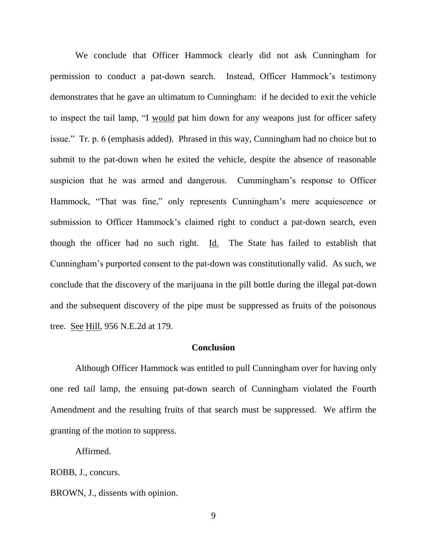We conclude that Officer Hammock clearly did not ask Cunningham for permission to conduct a pat-down search. Instead, Officer Hammock's testimony demonstrates that he gave an ultimatum to Cunningham: if he decided to exit the vehicle to inspect the tail lamp, "I would pat him down for any weapons just for officer safety issue." Tr. p. 6 (emphasis added). Phrased in this way, Cunningham had no choice but to submit to the pat-down when he exited the vehicle, despite the absence of reasonable suspicion that he was armed and dangerous. Cummingham's response to Officer Hammock, "That was fine," only represents Cunningham's mere acquiescence or submission to Officer Hammock's claimed right to conduct a pat-down search, even though the officer had no such right. Id. The State has failed to establish that Cunningham's purported consent to the pat-down was constitutionally valid. As such, we conclude that the discovery of the marijuana in the pill bottle during the illegal pat-down and the subsequent discovery of the pipe must be suppressed as fruits of the poisonous tree. See Hill, 956 N.E.2d at 179.

## **Conclusion**

Although Officer Hammock was entitled to pull Cunningham over for having only one red tail lamp, the ensuing pat-down search of Cunningham violated the Fourth Amendment and the resulting fruits of that search must be suppressed. We affirm the granting of the motion to suppress.

Affirmed.

ROBB, J., concurs.

BROWN, J., dissents with opinion.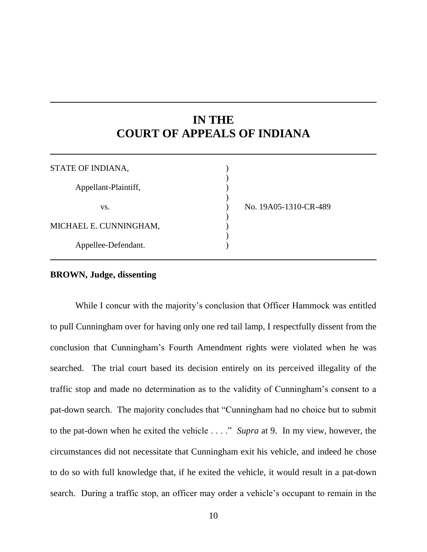# **IN THE COURT OF APPEALS OF INDIANA**

| STATE OF INDIANA,      |                       |
|------------------------|-----------------------|
| Appellant-Plaintiff,   |                       |
| VS.                    | No. 19A05-1310-CR-489 |
| MICHAEL E. CUNNINGHAM, |                       |
| Appellee-Defendant.    |                       |

## **BROWN, Judge, dissenting**

While I concur with the majority's conclusion that Officer Hammock was entitled to pull Cunningham over for having only one red tail lamp, I respectfully dissent from the conclusion that Cunningham's Fourth Amendment rights were violated when he was searched. The trial court based its decision entirely on its perceived illegality of the traffic stop and made no determination as to the validity of Cunningham's consent to a pat-down search. The majority concludes that "Cunningham had no choice but to submit to the pat-down when he exited the vehicle . . . ." *Supra* at 9. In my view, however, the circumstances did not necessitate that Cunningham exit his vehicle, and indeed he chose to do so with full knowledge that, if he exited the vehicle, it would result in a pat-down search. During a traffic stop, an officer may order a vehicle's occupant to remain in the